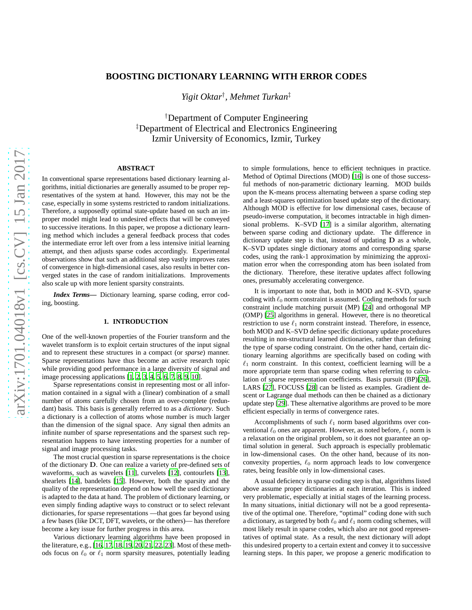# **BOOSTING DICTIONARY LEARNING WITH ERROR CODES**

*Yigit Oktar*† *, Mehmet Turkan*‡

†Department of Computer Engineering ‡Department of Electrical and Electronics Engineering Izmir University of Economics, Izmir, Turkey

# **ABSTRACT**

In conventional sparse representations based dictionary learning algorithms, initial dictionaries are generally assumed to be proper representatives of the system at hand. However, this may not be the case, especially in some systems restricted to random initializations. Therefore, a supposedly optimal state-update based on such an improper model might lead to undesired effects that will be conveyed to successive iterations. In this paper, we propose a dictionary learning method which includes a general feedback process that codes the intermediate error left over from a less intensive initial learning attempt, and then adjusts sparse codes accordingly. Experimental observations show that such an additional step vastly improves rates of convergence in high-dimensional cases, also results in better converged states in the case of random initializations. Improvements also scale up with more lenient sparsity constraints.

*Index Terms***—** Dictionary learning, sparse coding, error coding, boosting.

# **1. INTRODUCTION**

One of the well-known properties of the Fourier transform and the wavelet transform is to exploit certain structures of the input signal and to represent these structures in a compact (or *sparse*) manner. Sparse representations have thus become an active research topic while providing good performance in a large diversity of signal and image processing applications [\[1](#page-4-0), [2](#page-4-1), [3](#page-4-2), [4](#page-4-3), [5](#page-4-4), [6](#page-4-5), [7,](#page-4-6) [8,](#page-4-7) [9,](#page-4-8) [10](#page-4-9)].

Sparse representations consist in representing most or all information contained in a signal with a (linear) combination of a small number of *atoms* carefully chosen from an over-complete (redundant) basis. This basis is generally referred to as a *dictionary*. Such a dictionary is a collection of atoms whose number is much larger than the dimension of the signal space. Any signal then admits an infinite number of sparse representations and the sparsest such representation happens to have interesting properties for a number of signal and image processing tasks.

The most crucial question in sparse representations is the choice of the dictionary D. One can realize a variety of pre-defined sets of waveforms, such as wavelets [\[11\]](#page-4-10), curvelets [\[12](#page-4-11)], contourlets [\[13\]](#page-4-12), shearlets [\[14](#page-4-13)], bandelets [\[15](#page-4-14)]. However, both the sparsity and the quality of the representation depend on how well the used dictionary is adapted to the data at hand. The problem of dictionary learning, or even simply finding adaptive ways to construct or to select relevant dictionaries, for sparse representations —that goes far beyond using a few bases (like DCT, DFT, wavelets, or the others)— has therefore become a key issue for further progress in this area.

Various dictionary learning algorithms have been proposed in the literature, e.g., [\[16](#page-4-15), [17](#page-4-16), [18](#page-4-17), [19](#page-4-18), [20](#page-4-19), [21](#page-4-20), [22,](#page-4-21) [23\]](#page-4-22). Most of these methods focus on  $\ell_0$  or  $\ell_1$  norm sparsity measures, potentially leading

to simple formulations, hence to efficient techniques in practice. Method of Optimal Directions (MOD) [\[16](#page-4-15)] is one of those successful methods of non-parametric dictionary learning. MOD builds upon the K-means process alternating between a sparse coding step and a least-squares optimization based update step of the dictionary. Although MOD is effective for low dimensional cases, because of pseudo-inverse computation, it becomes intractable in high dimensional problems. K–SVD [\[17](#page-4-16)] is a similar algorithm, alternating between sparse coding and dictionary update. The difference in dictionary update step is that, instead of updating  **as a whole,** K–SVD updates single dictionary atoms and corresponding sparse codes, using the rank-1 approximation by minimizing the approximation error when the corresponding atom has been isolated from the dictionary. Therefore, these iterative updates affect following ones, presumably accelerating convergence.

It is important to note that, both in MOD and K–SVD, sparse coding with  $\ell_0$  norm constraint is assumed. Coding methods for such constraint include matching pursuit (MP) [\[24\]](#page-4-23) and orthogonal MP (OMP) [\[25](#page-4-24)] algorithms in general. However, there is no theoretical restriction to use  $\ell_1$  norm constraint instead. Therefore, in essence, both MOD and K–SVD define specific dictionary update procedures resulting in non-structural learned dictionaries, rather than defining the type of sparse coding constraint. On the other hand, certain dictionary learning algorithms are specifically based on coding with  $\ell_1$  norm constraint. In this context, coefficient learning will be a more appropriate term than sparse coding when referring to calculation of sparse representation coefficients. Basis pursuit (BP)[\[26\]](#page-4-25), LARS [\[27\]](#page-4-26), FOCUSS [\[28](#page-4-27)] can be listed as examples. Gradient descent or Lagrange dual methods can then be chained as a dictionary update step [\[29\]](#page-4-28). These alternative algorithms are proved to be more efficient especially in terms of convergence rates.

Accomplishments of such  $\ell_1$  norm based algorithms over conventional  $\ell_0$  ones are apparent. However, as noted before,  $\ell_1$  norm is a relaxation on the original problem, so it does not guarantee an optimal solution in general. Such approach is especially problematic in low-dimensional cases. On the other hand, because of its nonconvexity properties,  $\ell_0$  norm approach leads to low convergence rates, being feasible only in low-dimensional cases.

A usual deficiency in sparse coding step is that, algorithms listed above assume proper dictionaries at each iteration. This is indeed very problematic, especially at initial stages of the learning process. In many situations, initial dictionary will not be a good representative of the optimal one. Therefore, "optimal" coding done with such a dictionary, as targeted by both  $\ell_0$  and  $\ell_1$  norm coding schemes, will most likely result in sparse codes, which also are not good representatives of optimal state. As a result, the next dictionary will adopt this undesired property to a certain extent and convey it to successive learning steps. In this paper, we propose a generic modification to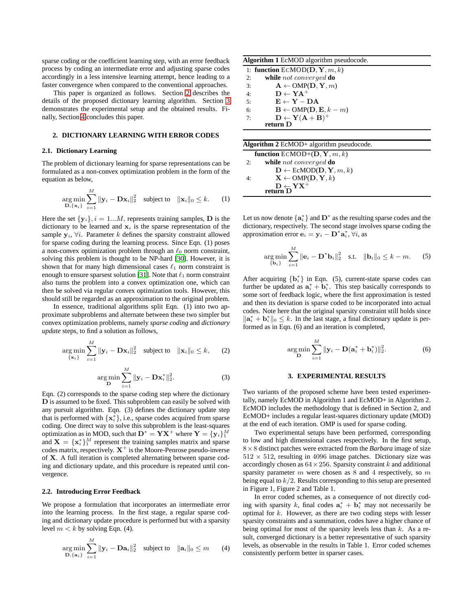sparse coding or the coefficient learning step, with an error feedback process by coding an intermediate error and adjusting sparse codes accordingly in a less intensive learning attempt, hence leading to a faster convergence when compared to the conventional approaches.

This paper is organized as follows. Section [2](#page-1-0) describes the details of the proposed dictionary learning algorithm. Section [3](#page-1-1) demonstrates the experimental setup and the obtained results. Finally, Section [4](#page-3-0) concludes this paper.

# <span id="page-1-0"></span>**2. DICTIONARY LEARNING WITH ERROR CODES**

#### **2.1. Dictionary Learning**

The problem of dictionary learning for sparse representations can be formulated as a non-convex optimization problem in the form of the equation as below,

$$
\underset{\mathbf{D}, \{\mathbf{x}_i\}}{\arg \min} \sum_{i=1}^{M} \|\mathbf{y}_i - \mathbf{D}\mathbf{x}_i\|_2^2 \quad \text{subject to} \quad \|\mathbf{x}_i\|_0 \leq k. \tag{1}
$$

Here the set  $\{y_i\}, i = 1...M$ , represents training samples, **D** is the dictionary to be learned and  $x_i$  is the sparse representation of the sample  $y_i$ ,  $\forall i$ . Parameter k defines the sparsity constraint allowed for sparse coding during the learning process. Since Eqn. (1) poses a non-convex optimization problem through an  $\ell_0$  norm constraint, solving this problem is thought to be NP-hard [\[30\]](#page-4-29). However, it is shown that for many high dimensional cases  $\ell_1$  norm constraint is enough to ensure sparsest solution [\[31](#page-4-30)]. Note that  $\ell_1$  norm constraint also turns the problem into a convex optimization one, which can then be solved via regular convex optimization tools. However, this should still be regarded as an approximation to the original problem.

In essence, traditional algorithms split Eqn. (1) into two approximate subproblems and alternate between these two simpler but convex optimization problems, namely *sparse coding* and *dictionary update* steps, to find a solution as follows,

$$
\underset{\{\mathbf{x}_i\}}{\arg\min} \sum_{i=1}^M \|\mathbf{y}_i - \mathbf{D}\mathbf{x}_i\|_2^2 \quad \text{subject to} \quad \|\mathbf{x}_i\|_0 \leq k, \qquad (2)
$$

$$
\underset{\mathbf{D}}{\arg\min} \sum_{i=1}^{M} \|\mathbf{y}_i - \mathbf{D}\mathbf{x}_i^*\|_2^2.
$$
 (3)

Eqn. (2) corresponds to the sparse coding step where the dictionary D is assumed to be fixed. This subproblem can easily be solved with any pursuit algorithm. Eqn. (3) defines the dictionary update step that is performed with  $\{x_i^*\}$ , i.e., sparse codes acquired from sparse coding. One direct way to solve this subproblem is the least-squares optimization as in MOD, such that  $D^* = YX^+$  where  $Y = \{y_i\}_1^M$ and  $X = \{x_i^*\}_1^M$  represent the training samples matrix and sparse codes matrix, respectively.  $X^+$  is the Moore-Penrose pseudo-inverse of X. A full iteration is completed alternating between sparse coding and dictionary update, and this procedure is repeated until convergence.

# **2.2. Introducing Error Feedback**

We propose a formulation that incorporates an intermediate error into the learning process. In the first stage, a regular sparse coding and dictionary update procedure is performed but with a sparsity level  $m < k$  by solving Eqn. (4).

$$
\underset{\mathbf{D}, \{\mathbf{a}_i\}}{\arg \min} \sum_{i=1}^{M} \|\mathbf{y}_i - \mathbf{D}\mathbf{a}_i\|_2^2 \quad \text{subject to} \quad \|\mathbf{a}_i\|_0 \le m \qquad (4)
$$

| <b>Algorithm 1</b> EcMOD algorithm pseudocode.                        |
|-----------------------------------------------------------------------|
| 1: function $ECMOD(D, Y, m, k)$                                       |
| while not converged do<br>2:                                          |
| $\mathbf{A} \leftarrow \text{OMP}(\mathbf{D}, \mathbf{Y}, m)$<br>3:   |
| $D \leftarrow YA^+$<br>4:                                             |
| $E \leftarrow Y - DA$<br>5:                                           |
| $\mathbf{B} \leftarrow \text{OMP}(\mathbf{D}, \mathbf{E}, k-m)$<br>6: |
| $D \leftarrow Y(A + B)^+$<br>7:                                       |
| return D                                                              |
|                                                                       |

| Algorithm $2$ EcMOD+ algorithm pseudocode.                          |  |
|---------------------------------------------------------------------|--|
| function $ECMOD+ (D, Y, m, k)$                                      |  |
| while not converged do<br>2:                                        |  |
| $\mathbf{D} \leftarrow \text{EcMOD}(\mathbf{D}, \mathbf{Y}, m, k)$  |  |
| $X \leftarrow \text{OMP}(D, Y, k)$<br>4:                            |  |
| $\mathbf{D} \leftarrow \mathbf{Y} \mathbf{X}^+$ return $\mathbf{D}$ |  |
|                                                                     |  |

Let us now denote  $\{a_i^*\}$  and  $D^*$  as the resulting sparse codes and the dictionary, respectively. The second stage involves sparse coding the approximation error  $\mathbf{e}_i = \mathbf{y}_i - \mathbf{D}^* \mathbf{a}_i^*, \forall i$ , as

$$
\underset{\{\mathbf{b}_i\}}{\arg\min} \sum_{i=1}^M \|\mathbf{e}_i - \mathbf{D}^* \mathbf{b}_i\|_2^2 \quad \text{s.t.} \quad \|\mathbf{b}_i\|_0 \leq k - m. \tag{5}
$$

After acquiring  $\{b_i^*\}$  in Eqn. (5), current-state sparse codes can further be updated as  $a_i^* + b_i^*$ . This step basically corresponds to some sort of feedback logic, where the first approximation is tested and then its deviation is sparse coded to be incorporated into actual codes. Note here that the original sparsity constraint still holds since  $\|\mathbf{a}_i^* + \mathbf{b}_i^*\|_0 \leq k$ . In the last stage, a final dictionary update is performed as in Eqn. (6) and an iteration is completed,

$$
\underset{\mathbf{D}}{\arg\min} \sum_{i=1}^{M} \|\mathbf{y}_i - \mathbf{D}(\mathbf{a}_i^* + \mathbf{b}_i^*)\|_2^2.
$$
 (6)

# **3. EXPERIMENTAL RESULTS**

<span id="page-1-1"></span>Two variants of the proposed scheme have been tested experimentally, namely EcMOD in Algorithm 1 and EcMOD+ in Algorithm 2. EcMOD includes the methodology that is defined in Section 2, and EcMOD+ includes a regular least-squares dictionary update (MOD) at the end of each iteration. OMP is used for sparse coding.

Two experimental setups have been performed, corresponding to low and high dimensional cases respectively. In the first setup,  $8 \times 8$  distinct patches were extracted from the *Barbara* image of size  $512 \times 512$ , resulting in 4096 image patches. Dictionary size was accordingly chosen as  $64 \times 256$ . Sparsity constraint k and additional sparsity parameter  $m$  were chosen as  $8$  and  $4$  respectively, so  $m$ being equal to  $k/2$ . Results corresponding to this setup are presented in Figure 1, Figure 2 and Table 1.

In error coded schemes, as a consequence of not directly coding with sparsity k, final codes  $\mathbf{a}_i^* + \mathbf{b}_i^*$  may not necessarily be optimal for  $k$ . However, as there are two coding steps with lesser sparsity constraints and a summation, codes have a higher chance of being optimal for most of the sparsity levels less than  $k$ . As a result, converged dictionary is a better representative of such sparsity levels, as observable in the results in Table 1. Error coded schemes consistently perform better in sparser cases.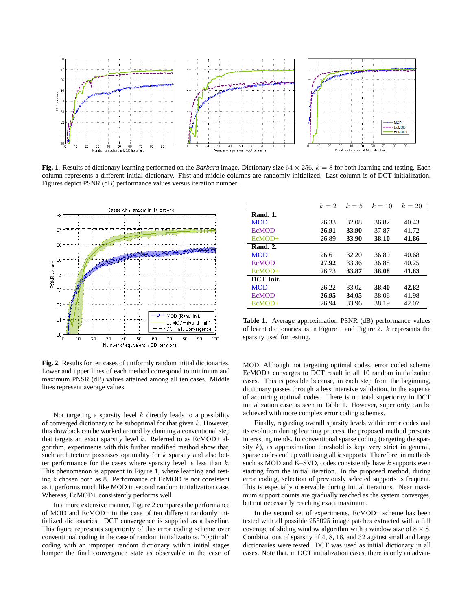

**Fig. 1**. Results of dictionary learning performed on the *Barbara* image. Dictionary size  $64 \times 256$ ,  $k = 8$  for both learning and testing. Each column represents a different initial dictionary. First and middle columns are randomly initialized. Last column is of DCT initialization. Figures depict PSNR (dB) performance values versus iteration number.



**Fig. 2**. Results for ten cases of uniformly random initial dictionaries. Lower and upper lines of each method correspond to minimum and maximum PNSR (dB) values attained among all ten cases. Middle lines represent average values.

Not targeting a sparsity level  $k$  directly leads to a possibility of converged dictionary to be suboptimal for that given  $k$ . However, this drawback can be worked around by chaining a conventional step that targets an exact sparsity level  $k$ . Referred to as EcMOD+ algorithm, experiments with this further modified method show that, such architecture possesses optimality for  $k$  sparsity and also better performance for the cases where sparsity level is less than  $k$ . This phenomenon is apparent in Figure 1, where learning and testing k chosen both as 8. Performance of EcMOD is not consistent as it performs much like MOD in second random initialization case. Whereas, EcMOD+ consistently performs well.

In a more extensive manner, Figure 2 compares the performance of MOD and EcMOD+ in the case of ten different randomly initialized dictionaries. DCT convergence is supplied as a baseline. This figure represents superiority of this error coding scheme over conventional coding in the case of random initializations. "Optimal" coding with an improper random dictionary within initial stages hamper the final convergence state as observable in the case of

|                  | $k=2$ | $k=5$ | $k=10$ | $k=20$ |
|------------------|-------|-------|--------|--------|
| <b>Rand. 1.</b>  |       |       |        |        |
| <b>MOD</b>       | 26.33 | 32.08 | 36.82  | 40.43  |
| <b>ECMOD</b>     | 26.91 | 33.90 | 37.87  | 41.72  |
| $EcMOD+$         | 26.89 | 33.90 | 38.10  | 41.86  |
| <b>Rand. 2.</b>  |       |       |        |        |
| <b>MOD</b>       | 26.61 | 32.20 | 36.89  | 40.68  |
| <b>ECMOD</b>     | 27.92 | 33.36 | 36.88  | 40.25  |
| $EcMOD+$         | 26.73 | 33.87 | 38.08  | 41.83  |
| <b>DCT</b> Init. |       |       |        |        |
| <b>MOD</b>       | 26.22 | 33.02 | 38.40  | 42.82  |
| <b>ECMOD</b>     | 26.95 | 34.05 | 38.06  | 41.98  |
| $EcMOD+$         | 26.94 | 33.96 | 38.19  | 42.07  |

**Table 1.** Average approximation PSNR (dB) performance values of learnt dictionaries as in Figure 1 and Figure 2.  $k$  represents the sparsity used for testing.

MOD. Although not targeting optimal codes, error coded scheme EcMOD+ converges to DCT result in all 10 random initialization cases. This is possible because, in each step from the beginning, dictionary passes through a less intensive validation, in the expense of acquiring optimal codes. There is no total superiority in DCT initialization case as seen in Table 1. However, superiority can be achieved with more complex error coding schemes.

Finally, regarding overall sparsity levels within error codes and its evolution during learning process, the proposed method presents interesting trends. In conventional sparse coding (targeting the sparsity  $k$ ), as approximation threshold is kept very strict in general, sparse codes end up with using all  $k$  supports. Therefore, in methods such as MOD and K–SVD, codes consistently have  $k$  supports even starting from the initial iteration. In the proposed method, during error coding, selection of previously selected supports is frequent. This is especially observable during initial iterations. Near maximum support counts are gradually reached as the system converges, but not necessarily reaching exact maximum.

In the second set of experiments, EcMOD+ scheme has been tested with all possible 255025 image patches extracted with a full coverage of sliding window algorithm with a window size of  $8 \times 8$ . Combinations of sparsity of 4, 8, 16, and 32 against small and large dictionaries were tested. DCT was used as initial dictionary in all cases. Note that, in DCT initialization cases, there is only an advan-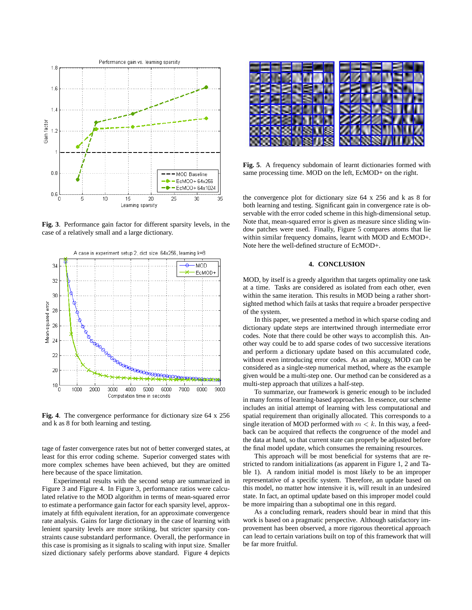

**Fig. 3**. Performance gain factor for different sparsity levels, in the case of a relatively small and a large dictionary.



**Fig. 4**. The convergence performance for dictionary size 64 x 256 and k as 8 for both learning and testing.

tage of faster convergence rates but not of better converged states, at least for this error coding scheme. Superior converged states with more complex schemes have been achieved, but they are omitted here because of the space limitation.

Experimental results with the second setup are summarized in Figure 3 and Figure 4. In Figure 3, performance ratios were calculated relative to the MOD algorithm in terms of mean-squared error to estimate a performance gain factor for each sparsity level, approximately at fifth equivalent iteration, for an approximate convergence rate analysis. Gains for large dictionary in the case of learning with lenient sparsity levels are more striking, but stricter sparsity constraints cause substandard performance. Overall, the performance in this case is promising as it signals to scaling with input size. Smaller sized dictionary safely performs above standard. Figure 4 depicts



**Fig. 5**. A frequency subdomain of learnt dictionaries formed with same processing time. MOD on the left, EcMOD+ on the right.

the convergence plot for dictionary size 64 x 256 and k as 8 for both learning and testing. Significant gain in convergence rate is observable with the error coded scheme in this high-dimensional setup. Note that, mean-squared error is given as measure since sliding window patches were used. Finally, Figure 5 compares atoms that lie within similar frequency domains, learnt with MOD and EcMOD+. Note here the well-defined structure of EcMOD+.

# **4. CONCLUSION**

<span id="page-3-0"></span>MOD, by itself is a greedy algorithm that targets optimality one task at a time. Tasks are considered as isolated from each other, even within the same iteration. This results in MOD being a rather shortsighted method which fails at tasks that require a broader perspective of the system.

In this paper, we presented a method in which sparse coding and dictionary update steps are intertwined through intermediate error codes. Note that there could be other ways to accomplish this. Another way could be to add sparse codes of two successive iterations and perform a dictionary update based on this accumulated code, without even introducing error codes. As an analogy, MOD can be considered as a single-step numerical method, where as the example given would be a multi-step one. Our method can be considered as a multi-step approach that utilizes a half-step.

To summarize, our framework is generic enough to be included in many forms of learning-based approaches. In essence, our scheme includes an initial attempt of learning with less computational and spatial requirement than originally allocated. This corresponds to a single iteration of MOD performed with  $m < k$ . In this way, a feedback can be acquired that reflects the congruence of the model and the data at hand, so that current state can properly be adjusted before the final model update, which consumes the remaining resources.

This approach will be most beneficial for systems that are restricted to random initializations (as apparent in Figure 1, 2 and Table 1). A random initial model is most likely to be an improper representative of a specific system. Therefore, an update based on this model, no matter how intensive it is, will result in an undesired state. In fact, an optimal update based on this improper model could be more impairing than a suboptimal one in this regard.

As a concluding remark, readers should bear in mind that this work is based on a pragmatic perspective. Although satisfactory improvement has been observed, a more rigorous theoretical approach can lead to certain variations built on top of this framework that will be far more fruitful.